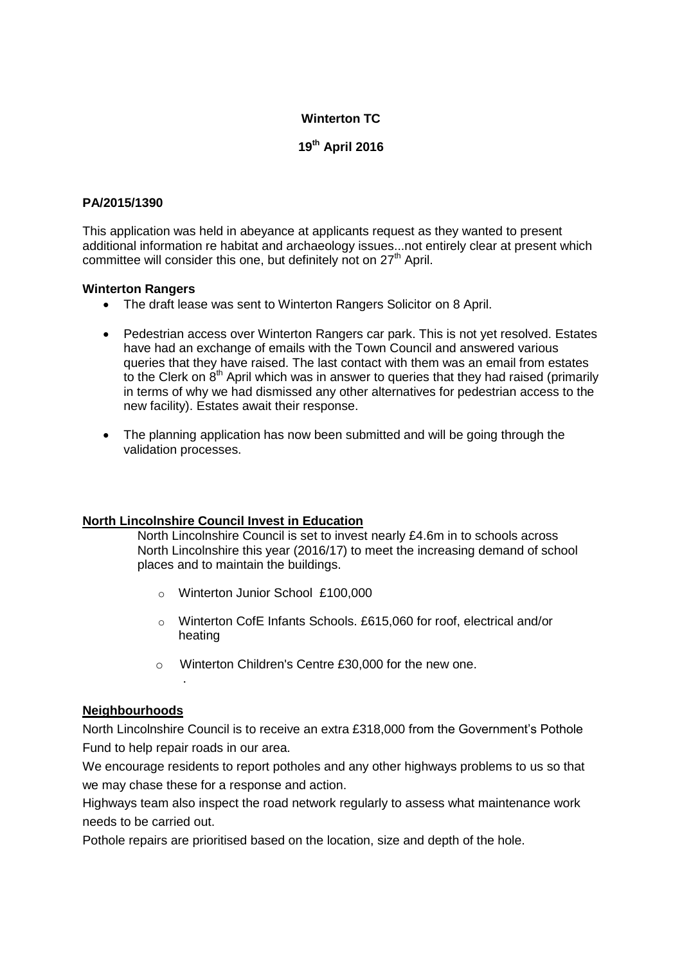# **Winterton TC**

**19th April 2016**

### **PA/2015/1390**

This application was held in abeyance at applicants request as they wanted to present additional information re habitat and archaeology issues...not entirely clear at present which committee will consider this one, but definitely not on 27<sup>th</sup> April.

#### **Winterton Rangers**

- The draft lease was sent to Winterton Rangers Solicitor on 8 April.
- Pedestrian access over Winterton Rangers car park. This is not yet resolved. Estates have had an exchange of emails with the Town Council and answered various queries that they have raised. The last contact with them was an email from estates to the Clerk on  $8<sup>th</sup>$  April which was in answer to queries that they had raised (primarily in terms of why we had dismissed any other alternatives for pedestrian access to the new facility). Estates await their response.
- The planning application has now been submitted and will be going through the validation processes.

#### **North Lincolnshire Council Invest in Education**

North Lincolnshire Council is set to invest nearly £4.6m in to schools across North Lincolnshire this year (2016/17) to meet the increasing demand of school places and to maintain the buildings.

- o Winterton Junior School £100,000
- o Winterton CofE Infants Schools. £615,060 for roof, electrical and/or heating
- o Winterton Children's Centre £30,000 for the new one.

#### **Neighbourhoods**

.

North Lincolnshire Council is to receive an extra £318,000 from the Government's Pothole Fund to help repair roads in our area.

We encourage residents to report potholes and any other highways problems to us so that we may chase these for a response and action.

Highways team also inspect the road network regularly to assess what maintenance work needs to be carried out.

Pothole repairs are prioritised based on the location, size and depth of the hole.